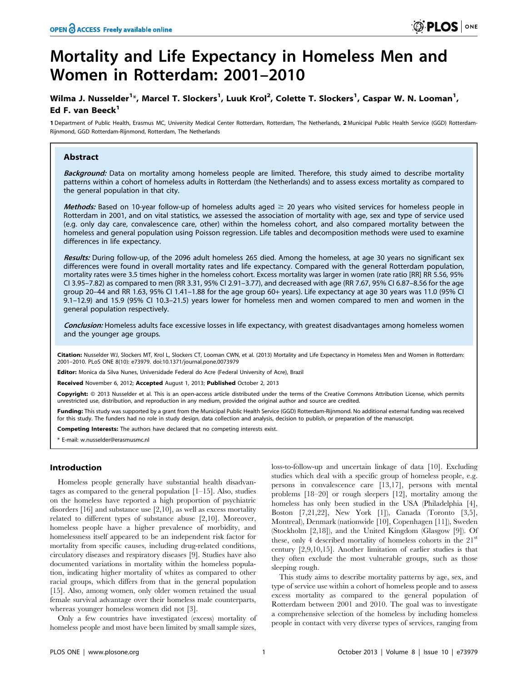# Mortality and Life Expectancy in Homeless Men and Women in Rotterdam: 2001–2010

# Wilma J. Nusselder<sup>1</sup>\*, Marcel T. Slockers<sup>1</sup>, Luuk Krol<sup>2</sup>, Colette T. Slockers<sup>1</sup>, Caspar W. N. Looman<sup>1</sup>, Ed F. van Beeck<sup>1</sup>

1 Department of Public Health, Erasmus MC, University Medical Center Rotterdam, Rotterdam, The Netherlands, 2 Municipal Public Health Service (GGD) Rotterdam-Rijnmond, GGD Rotterdam-Rijnmond, Rotterdam, The Netherlands

## Abstract

Background: Data on mortality among homeless people are limited. Therefore, this study aimed to describe mortality patterns within a cohort of homeless adults in Rotterdam (the Netherlands) and to assess excess mortality as compared to the general population in that city.

Methods: Based on 10-year follow-up of homeless adults aged  $\geq$  20 years who visited services for homeless people in Rotterdam in 2001, and on vital statistics, we assessed the association of mortality with age, sex and type of service used (e.g. only day care, convalescence care, other) within the homeless cohort, and also compared mortality between the homeless and general population using Poisson regression. Life tables and decomposition methods were used to examine differences in life expectancy.

Results: During follow-up, of the 2096 adult homeless 265 died. Among the homeless, at age 30 years no significant sex differences were found in overall mortality rates and life expectancy. Compared with the general Rotterdam population, mortality rates were 3.5 times higher in the homeless cohort. Excess mortality was larger in women (rate ratio [RR] RR 5.56, 95% CI 3.95–7.82) as compared to men (RR 3.31, 95% CI 2.91–3.77), and decreased with age (RR 7.67, 95% CI 6.87–8.56 for the age group 20–44 and RR 1.63, 95% CI 1.41–1.88 for the age group 60+ years). Life expectancy at age 30 years was 11.0 (95% CI 9.1–12.9) and 15.9 (95% CI 10.3–21.5) years lower for homeless men and women compared to men and women in the general population respectively.

Conclusion: Homeless adults face excessive losses in life expectancy, with greatest disadvantages among homeless women and the younger age groups.

Citation: Nusselder WJ, Slockers MT, Krol L, Slockers CT, Looman CWN, et al. (2013) Mortality and Life Expectancy in Homeless Men and Women in Rotterdam: 2001–2010. PLoS ONE 8(10): e73979. doi:10.1371/journal.pone.0073979

Editor: Monica da Silva Nunes, Universidade Federal do Acre (Federal University of Acre), Brazil

Received November 6, 2012; Accepted August 1, 2013; Published October 2, 2013

**Copyright:** © 2013 Nusselder et al. This is an open-access article distributed under the terms of the Creative Commons Attribution License, which permits unrestricted use, distribution, and reproduction in any medium, provided the original author and source are credited.

Funding: This study was supported by a grant from the Municipal Public Health Service (GGD) Rotterdam-Rijnmond. No additional external funding was received for this study. The funders had no role in study design, data collection and analysis, decision to publish, or preparation of the manuscript.

Competing Interests: The authors have declared that no competing interests exist.

\* E-mail: w.nusselder@erasmusmc.nl

# Introduction

Homeless people generally have substantial health disadvantages as compared to the general population [1–15]. Also, studies on the homeless have reported a high proportion of psychiatric disorders [16] and substance use [2,10], as well as excess mortality related to different types of substance abuse [2,10]. Moreover, homeless people have a higher prevalence of morbidity, and homelessness itself appeared to be an independent risk factor for mortality from specific causes, including drug-related conditions, circulatory diseases and respiratory diseases [9]. Studies have also documented variations in mortality within the homeless population, indicating higher mortality of whites as compared to other racial groups, which differs from that in the general population [15]. Also, among women, only older women retained the usual female survival advantage over their homeless male counterparts, whereas younger homeless women did not [3].

Only a few countries have investigated (excess) mortality of homeless people and most have been limited by small sample sizes,

loss-to-follow-up and uncertain linkage of data [10]. Excluding studies which deal with a specific group of homeless people, e.g. persons in convalescence care [13,17], persons with mental problems [18–20] or rough sleepers [12], mortality among the homeless has only been studied in the USA (Philadelphia [4], Boston [7,21,22], New York [1]), Canada (Toronto [3,5], Montreal), Denmark (nationwide [10], Copenhagen [11]), Sweden (Stockholm [2,18]), and the United Kingdom (Glasgow [9]). Of these, only 4 described mortality of homeless cohorts in the  $21<sup>st</sup>$ century [2,9,10,15]. Another limitation of earlier studies is that they often exclude the most vulnerable groups, such as those sleeping rough.

This study aims to describe mortality patterns by age, sex, and type of service use within a cohort of homeless people and to assess excess mortality as compared to the general population of Rotterdam between 2001 and 2010. The goal was to investigate a comprehensive selection of the homeless by including homeless people in contact with very diverse types of services, ranging from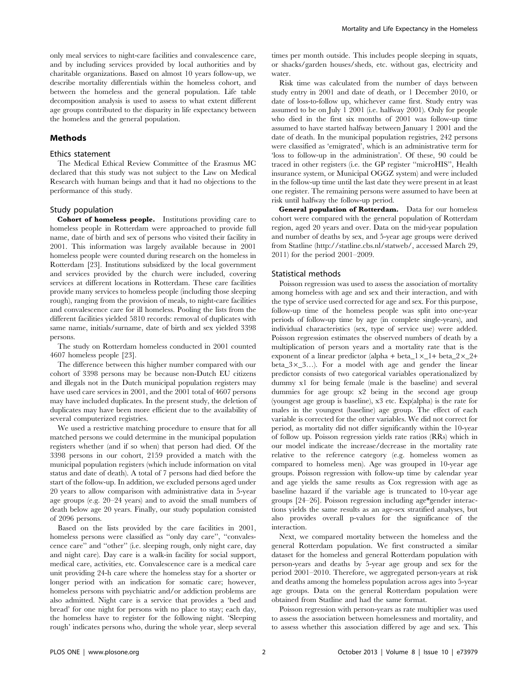only meal services to night-care facilities and convalescence care, and by including services provided by local authorities and by charitable organizations. Based on almost 10 years follow-up, we describe mortality differentials within the homeless cohort, and between the homeless and the general population. Life table decomposition analysis is used to assess to what extent different age groups contributed to the disparity in life expectancy between the homeless and the general population.

#### Methods

#### Ethics statement

The Medical Ethical Review Committee of the Erasmus MC declared that this study was not subject to the Law on Medical Research with human beings and that it had no objections to the performance of this study.

#### Study population

Cohort of homeless people. Institutions providing care to homeless people in Rotterdam were approached to provide full name, date of birth and sex of persons who visited their facility in 2001. This information was largely available because in 2001 homeless people were counted during research on the homeless in Rotterdam [23]. Institutions subsidized by the local government and services provided by the church were included, covering services at different locations in Rotterdam. These care facilities provide many services to homeless people (including those sleeping rough), ranging from the provision of meals, to night-care facilities and convalescence care for ill homeless. Pooling the lists from the different facilities yielded 5810 records: removal of duplicates with same name, initials/surname, date of birth and sex yielded 3398 persons.

The study on Rotterdam homeless conducted in 2001 counted 4607 homeless people [23].

The difference between this higher number compared with our cohort of 3398 persons may be because non-Dutch EU citizens and illegals not in the Dutch municipal population registers may have used care services in 2001, and the 2001 total of 4607 persons may have included duplicates. In the present study, the deletion of duplicates may have been more efficient due to the availability of several computerized registries.

We used a restrictive matching procedure to ensure that for all matched persons we could determine in the municipal population registers whether (and if so when) that person had died. Of the 3398 persons in our cohort, 2159 provided a match with the municipal population registers (which include information on vital status and date of death). A total of 7 persons had died before the start of the follow-up. In addition, we excluded persons aged under 20 years to allow comparison with administrative data in 5-year age groups (e.g. 20–24 years) and to avoid the small numbers of death below age 20 years. Finally, our study population consisted of 2096 persons.

Based on the lists provided by the care facilities in 2001, homeless persons were classified as "only day care", "convalescence care'' and ''other'' (i.e. sleeping rough, only night care, day and night care). Day care is a walk-in facility for social support, medical care, activities, etc. Convalescence care is a medical care unit providing 24-h care where the homeless stay for a shorter or longer period with an indication for somatic care; however, homeless persons with psychiatric and/or addiction problems are also admitted. Night care is a service that provides a 'bed and bread' for one night for persons with no place to stay; each day, the homeless have to register for the following night. 'Sleeping rough' indicates persons who, during the whole year, sleep several

times per month outside. This includes people sleeping in squats, or shacks/garden houses/sheds, etc. without gas, electricity and water.

Risk time was calculated from the number of days between study entry in 2001 and date of death, or 1 December 2010, or date of loss-to-follow up, whichever came first. Study entry was assumed to be on July 1 2001 (i.e. halfway 2001). Only for people who died in the first six months of 2001 was follow-up time assumed to have started halfway between January 1 2001 and the date of death. In the municipal population registries, 242 persons were classified as 'emigrated', which is an administrative term for 'loss to follow-up in the administration'. Of these, 90 could be traced in other registers (i.e. the GP register ''microHIS'', Health insurance system, or Municipal OGGZ system) and were included in the follow-up time until the last date they were present in at least one register. The remaining persons were assumed to have been at risk until halfway the follow-up period.

General population of Rotterdam. Data for our homeless cohort were compared with the general population of Rotterdam region, aged 20 years and over. Data on the mid-year population and number of deaths by sex, and 5-year age groups were derived from Statline (http://statline.cbs.nl/statweb/, accessed March 29, 2011) for the period 2001–2009.

#### Statistical methods

Poisson regression was used to assess the association of mortality among homeless with age and sex and their interaction, and with the type of service used corrected for age and sex. For this purpose, follow-up time of the homeless people was split into one-year periods of follow-up time by age (in complete single-years), and individual characteristics (sex, type of service use) were added. Poisson regression estimates the observed numbers of death by a multiplication of person years and a mortality rate that is the exponent of a linear predictor (alpha + beta\_1 $\times$ \_1+ beta\_2 $\times$ \_2+ beta\_3 $\times$ \_3…). For a model with age and gender the linear predictor consists of two categorical variables operationalized by dummy x1 for being female (male is the baseline) and several dummies for age group: x2 being in the second age group (youngest age group is baseline), x3 etc. Exp(alpha) is the rate for males in the youngest (baseline) age group. The effect of each variable is corrected for the other variables. We did not correct for period, as mortality did not differ significantly within the 10-year of follow up. Poisson regression yields rate ratios (RRs) which in our model indicate the increase/decrease in the mortality rate relative to the reference category (e.g. homeless women as compared to homeless men). Age was grouped in 10-year age groups. Poisson regression with follow-up time by calendar year and age yields the same results as Cox regression with age as baseline hazard if the variable age is truncated to 10-year age groups [24–26]. Poisson regression including age\*gender interactions yields the same results as an age-sex stratified analyses, but also provides overall p-values for the significance of the interaction.

Next, we compared mortality between the homeless and the general Rotterdam population. We first constructed a similar dataset for the homeless and general Rotterdam population with person-years and deaths by 5-year age group and sex for the period 2001–2010. Therefore, we aggregated person-years at risk and deaths among the homeless population across ages into 5-year age groups. Data on the general Rotterdam population were obtained from Statline and had the same format.

Poisson regression with person-years as rate multiplier was used to assess the association between homelessness and mortality, and to assess whether this association differed by age and sex. This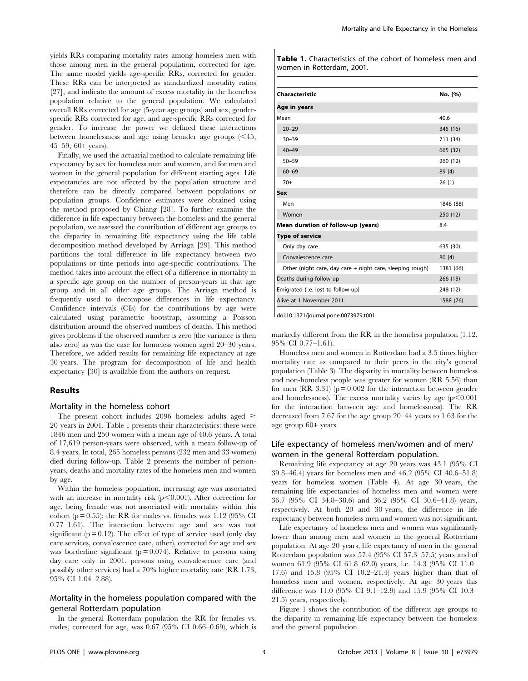yields RRs comparing mortality rates among homeless men with those among men in the general population, corrected for age. The same model yields age-specific RRs, corrected for gender. These RRs can be interpreted as standardized mortality ratios [27], and indicate the amount of excess mortality in the homeless population relative to the general population. We calculated overall RRs corrected for age (5-year age groups) and sex, genderspecific RRs corrected for age, and age-specific RRs corrected for gender. To increase the power we defined these interactions between homelessness and age using broader age groups  $(<$  45, 45–59, 60+ years).

Finally, we used the actuarial method to calculate remaining life expectancy by sex for homeless men and women, and for men and women in the general population for different starting ages. Life expectancies are not affected by the population structure and therefore can be directly compared between populations or population groups. Confidence estimates were obtained using the method proposed by Chiang [28]. To further examine the difference in life expectancy between the homeless and the general population, we assessed the contribution of different age groups to the disparity in remaining life expectancy using the life table decomposition method developed by Arriaga [29]. This method partitions the total difference in life expectancy between two populations or time periods into age-specific contributions. The method takes into account the effect of a difference in mortality in a specific age group on the number of person-years in that age group and in all older age groups. The Arriaga method is frequently used to decompose differences in life expectancy. Confidence intervals (CIs) for the contributions by age were calculated using parametric bootstrap, assuming a Poisson distribution around the observed numbers of deaths. This method gives problems if the observed number is zero (the variance is then also zero) as was the case for homeless women aged 20–30 years. Therefore, we added results for remaining life expectancy at age 30 years. The program for decomposition of life and health expectancy [30] is available from the authors on request.

#### Results

#### Mortality in the homeless cohort

The present cohort includes 2096 homeless adults aged  $\geq$ 20 years in 2001. Table 1 presents their characteristics: there were 1846 men and 250 women with a mean age of 40.6 years. A total of 17,619 person-years were observed, with a mean follow-up of 8.4 years. In total, 265 homeless persons (232 men and 33 women) died during follow-up. Table 2 presents the number of personyears, deaths and mortality rates of the homeless men and women by age.

Within the homeless population, increasing age was associated with an increase in mortality risk  $(p<0.001)$ . After correction for age, being female was not associated with mortality within this cohort ( $p = 0.55$ ); the RR for males vs. females was 1.12 (95% CI 0.77–1.61). The interaction between age and sex was not significant  $(p = 0.12)$ . The effect of type of service used (only day care services, convalescence care, other), corrected for age and sex was borderline significant ( $p = 0.074$ ). Relative to persons using day care only in 2001, persons using convalescence care (and possibly other services) had a 70% higher mortality rate (RR 1.73, 95% CI 1.04–2.88).

## Mortality in the homeless population compared with the general Rotterdam population

In the general Rotterdam population the RR for females vs. males, corrected for age, was 0.67 (95% CI 0.66–0.69), which is Table 1. Characteristics of the cohort of homeless men and women in Rotterdam, 2001.

| Characteristic                                            | No. (%)   |
|-----------------------------------------------------------|-----------|
| Age in years                                              |           |
| Mean                                                      | 40.6      |
| $20 - 29$                                                 | 345 (16)  |
| $30 - 39$                                                 | 711 (34)  |
| $40 - 49$                                                 | 665 (32)  |
| $50 - 59$                                                 | 260 (12)  |
| $60 - 69$                                                 | 89 (4)    |
| $70+$                                                     | 26(1)     |
| Sex                                                       |           |
| Men                                                       | 1846 (88) |
| Women                                                     | 250 (12)  |
| Mean duration of follow-up (years)                        | 8.4       |
| <b>Type of service</b>                                    |           |
| Only day care                                             | 635 (30)  |
| Convalescence care                                        | 80 (4)    |
| Other (night care, day care + night care, sleeping rough) | 1381 (66) |
| Deaths during follow-up                                   | 266 (13)  |
| Emigrated (i.e. lost to follow-up)                        | 248 (12)  |
| Alive at 1 November 2011                                  | 1588 (76) |
|                                                           |           |

doi:10.1371/journal.pone.0073979.t001

markedly different from the RR in the homeless population (1.12, 95% CI 0.77–1.61).

Homeless men and women in Rotterdam had a 3.5 times higher mortality rate as compared to their peers in the city's general population (Table 3). The disparity in mortality between homeless and non-homeless people was greater for women (RR 5.56) than for men (RR 3.31) ( $p = 0.002$  for the interaction between gender and homelessness). The excess mortality varies by age  $(p<0.001)$ for the interaction between age and homelessness). The RR decreased from 7.67 for the age group 20–44 years to 1.63 for the age group 60+ years.

## Life expectancy of homeless men/women and of men/ women in the general Rotterdam population.

Remaining life expectancy at age 20 years was 43.1 (95% CI 39.8–46.4) years for homeless men and 46.2 (95% CI 40.6–51.8) years for homeless women (Table 4). At age 30 years, the remaining life expectancies of homeless men and women were 36.7 (95% CI 34.8–38.6) and 36.2 (95% CI 30.6–41.8) years, respectively. At both 20 and 30 years, the difference in life expectancy between homeless men and women was not significant.

Life expectancy of homeless men and women was significantly lower than among men and women in the general Rotterdam population. At age 20 years, life expectancy of men in the general Rotterdam population was 57.4 (95% CI 57.3–57.5) years and of women 61.9 (95% CI 61.8–62.0) years, i.e. 14.3 (95% CI 11.0– 17.6) and 15.8 (95% CI 10.2–21.4) years higher than that of homeless men and women, respectively. At age 30 years this difference was 11.0 (95% CI 9.1–12.9) and 15.9 (95% CI 10.3– 21.5) years, respectively.

Figure 1 shows the contribution of the different age groups to the disparity in remaining life expectancy between the homeless and the general population.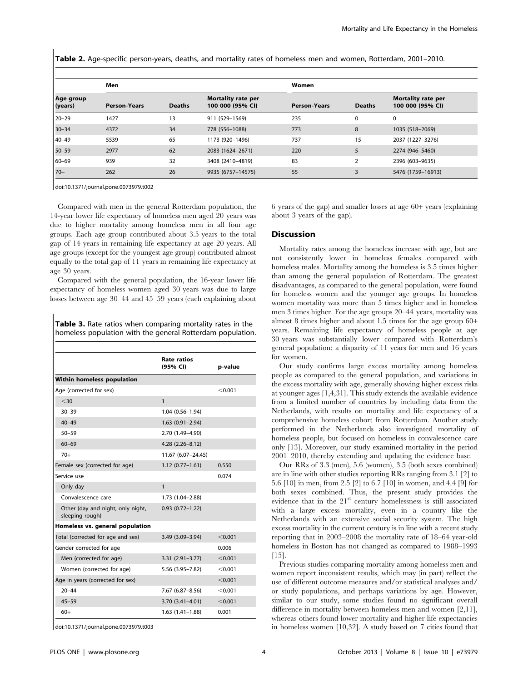Table 2. Age-specific person-years, deaths, and mortality rates of homeless men and women, Rotterdam, 2001–2010.

| Age group<br>(years) | Men                 |               |                                               | Women               |                |                                               |
|----------------------|---------------------|---------------|-----------------------------------------------|---------------------|----------------|-----------------------------------------------|
|                      | <b>Person-Years</b> | <b>Deaths</b> | <b>Mortality rate per</b><br>100 000 (95% CI) | <b>Person-Years</b> | <b>Deaths</b>  | <b>Mortality rate per</b><br>100 000 (95% CI) |
| 20-29                | 1427                | 13            | 911 (529-1569)                                | 235                 | 0              | $\mathbf 0$                                   |
| $30 - 34$            | 4372                | 34            | 778 (556-1088)                                | 773                 | 8              | 1035 (518-2069)                               |
| $40 - 49$            | 5539                | 65            | 1173 (920-1496)                               | 737                 | 15             | 2037 (1227-3276)                              |
| $50 - 59$            | 2977                | 62            | 2083 (1624-2671)                              | 220                 | 5              | 2274 (946-5460)                               |
| 60-69                | 939                 | 32            | 3408 (2410-4819)                              | 83                  | $\overline{2}$ | 2396 (603-9635)                               |
| $70+$                | 262                 | 26            | 9935 (6757-14575)                             | 55                  | 3              | 5476 (1759-16913)                             |

doi:10.1371/journal.pone.0073979.t002

Compared with men in the general Rotterdam population, the 14-year lower life expectancy of homeless men aged 20 years was due to higher mortality among homeless men in all four age groups. Each age group contributed about 3.5 years to the total gap of 14 years in remaining life expectancy at age 20 years. All age groups (except for the youngest age group) contributed almost equally to the total gap of 11 years in remaining life expectancy at age 30 years.

Compared with the general population, the 16-year lower life expectancy of homeless women aged 30 years was due to large losses between age 30–44 and 45–59 years (each explaining about

Table 3. Rate ratios when comparing mortality rates in the homeless population with the general Rotterdam population.

|                                                      | Rate ratios<br>(95% CI) | p-value |
|------------------------------------------------------|-------------------------|---------|
| Within homeless population                           |                         |         |
| Age (corrected for sex)                              |                         | < 0.001 |
| $<$ 30                                               | $\mathbf{1}$            |         |
| $30 - 39$                                            | $1.04(0.56 - 1.94)$     |         |
| $40 - 49$                                            | $1.63(0.91 - 2.94)$     |         |
| $50 - 59$                                            | 2.70 (1.49-4.90)        |         |
| $60 - 69$                                            | $4.28$ $(2.26 - 8.12)$  |         |
| $70+$                                                | 11.67 (6.07-24.45)      |         |
| Female sex (corrected for age)                       | $1.12(0.77 - 1.61)$     | 0.550   |
| Service use                                          |                         | 0.074   |
| Only day                                             | $\mathbf{1}$            |         |
| Convalescence care                                   | 1.73 (1.04-2.88)        |         |
| Other (day and night, only night,<br>sleeping rough) | $0.93$ $(0.72 - 1.22)$  |         |
| Homeless vs. general population                      |                         |         |
| Total (corrected for age and sex)                    | 3.49 (3.09-3.94)        | < 0.001 |
| Gender corrected for age                             |                         | 0.006   |
| Men (corrected for age)                              | $3.31(2.91 - 3.77)$     | < 0.001 |
| Women (corrected for age)                            | 5.56 (3.95-7.82)        | < 0.001 |
| Age in years (corrected for sex)                     |                         | < 0.001 |
| $20 - 44$                                            | $7.67(6.87 - 8.56)$     | < 0.001 |
| $45 - 59$                                            | $3.70(3.41 - 4.01)$     | < 0.001 |
| $60+$                                                | $1.63(1.41-1.88)$       | 0.001   |

doi:10.1371/journal.pone.0073979.t003

6 years of the gap) and smaller losses at age 60+ years (explaining about 3 years of the gap).

#### Discussion

Mortality rates among the homeless increase with age, but are not consistently lower in homeless females compared with homeless males. Mortality among the homeless is 3.5 times higher than among the general population of Rotterdam. The greatest disadvantages, as compared to the general population, were found for homeless women and the younger age groups. In homeless women mortality was more than 5 times higher and in homeless men 3 times higher. For the age groups 20–44 years, mortality was almost 8 times higher and about 1.5 times for the age group 60+ years. Remaining life expectancy of homeless people at age 30 years was substantially lower compared with Rotterdam's general population: a disparity of 11 years for men and 16 years for women.

Our study confirms large excess mortality among homeless people as compared to the general population, and variations in the excess mortality with age, generally showing higher excess risks at younger ages [1,4,31]. This study extends the available evidence from a limited number of countries by including data from the Netherlands, with results on mortality and life expectancy of a comprehensive homeless cohort from Rotterdam. Another study performed in the Netherlands also investigated mortality of homeless people, but focused on homeless in convalescence care only [13]. Moreover, our study examined mortality in the period 2001–2010, thereby extending and updating the evidence base.

Our RRs of 3.3 (men), 5.6 (women), 3.5 (both sexes combined) are in line with other studies reporting RRs ranging from 3.1 [2] to 5.6 [10] in men, from 2.5 [2] to 6.7 [10] in women, and 4.4 [9] for both sexes combined. Thus, the present study provides the evidence that in the  $21<sup>st</sup>$  century homelessness is still associated with a large excess mortality, even in a country like the Netherlands with an extensive social security system. The high excess mortality in the current century is in line with a recent study reporting that in 2003–2008 the mortality rate of 18–64 year-old homeless in Boston has not changed as compared to 1988–1993 [15].

Previous studies comparing mortality among homeless men and women report inconsistent results, which may (in part) reflect the use of different outcome measures and/or statistical analyses and/ or study populations, and perhaps variations by age. However, similar to our study, some studies found no significant overall difference in mortality between homeless men and women [2,11], whereas others found lower mortality and higher life expectancies in homeless women [10,32]. A study based on 7 cities found that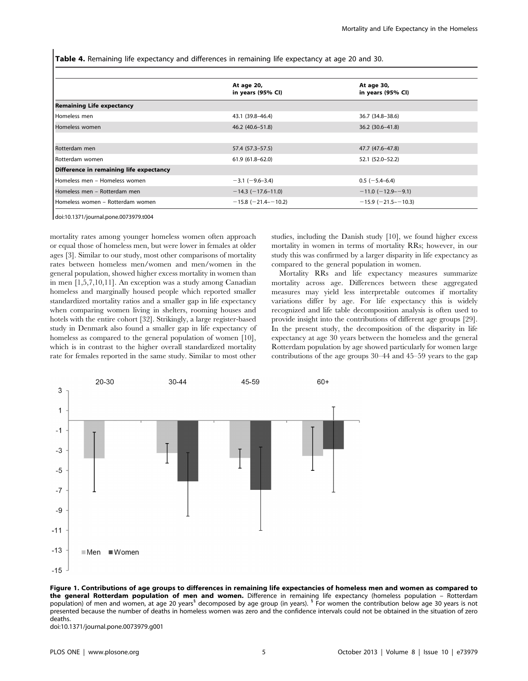Table 4. Remaining life expectancy and differences in remaining life expectancy at age 20 and 30.

|                                         | At age 20,<br>in years (95% CI) | At age 30,<br>in years (95% CI) |  |  |  |  |
|-----------------------------------------|---------------------------------|---------------------------------|--|--|--|--|
| <b>Remaining Life expectancy</b>        |                                 |                                 |  |  |  |  |
| Homeless men                            | 43.1 (39.8-46.4)                | 36.7 (34.8-38.6)                |  |  |  |  |
| Homeless women                          | 46.2 (40.6-51.8)                | $36.2(30.6 - 41.8)$             |  |  |  |  |
|                                         |                                 |                                 |  |  |  |  |
| Rotterdam men                           | 57.4 (57.3–57.5)                | 47.7 (47.6–47.8)                |  |  |  |  |
| Rotterdam women                         | $61.9(61.8 - 62.0)$             | 52.1 (52.0-52.2)                |  |  |  |  |
| Difference in remaining life expectancy |                                 |                                 |  |  |  |  |
| Homeless men - Homeless women           | $-3.1$ ( $-9.6 - 3.4$ )         | $0.5$ (-5.4-6.4)                |  |  |  |  |
| Homeless men – Rotterdam men            | $-14.3$ ( $-17.6-11.0$ )        | $-11.0$ (-12.9--9.1)            |  |  |  |  |
| Homeless women - Rotterdam women        | $-15.8$ ( $-21.4$ - $-10.2$ )   | $-15.9$ ( $-21.5 - -10.3$ )     |  |  |  |  |

doi:10.1371/journal.pone.0073979.t004

mortality rates among younger homeless women often approach or equal those of homeless men, but were lower in females at older ages [3]. Similar to our study, most other comparisons of mortality rates between homeless men/women and men/women in the general population, showed higher excess mortality in women than in men [1,5,7,10,11]. An exception was a study among Canadian homeless and marginally housed people which reported smaller standardized mortality ratios and a smaller gap in life expectancy when comparing women living in shelters, rooming houses and hotels with the entire cohort [32]. Strikingly, a large register-based study in Denmark also found a smaller gap in life expectancy of homeless as compared to the general population of women [10], which is in contrast to the higher overall standardized mortality rate for females reported in the same study. Similar to most other studies, including the Danish study [10], we found higher excess mortality in women in terms of mortality RRs; however, in our study this was confirmed by a larger disparity in life expectancy as compared to the general population in women.

Mortality RRs and life expectancy measures summarize mortality across age. Differences between these aggregated measures may yield less interpretable outcomes if mortality variations differ by age. For life expectancy this is widely recognized and life table decomposition analysis is often used to provide insight into the contributions of different age groups [29]. In the present study, the decomposition of the disparity in life expectancy at age 30 years between the homeless and the general Rotterdam population by age showed particularly for women large contributions of the age groups 30–44 and 45–59 years to the gap



Figure 1. Contributions of age groups to differences in remaining life expectancies of homeless men and women as compared to the general Rotterdam population of men and women. Difference in remaining life expectancy (homeless population - Rotterdam population) of men and women, at age 20 years<sup>3</sup> decomposed by age group (in years). <sup>5</sup> For women the contribution below age 30 years is not presented because the number of deaths in homeless women was zero and the confidence intervals could not be obtained in the situation of zero deaths.

doi:10.1371/journal.pone.0073979.g001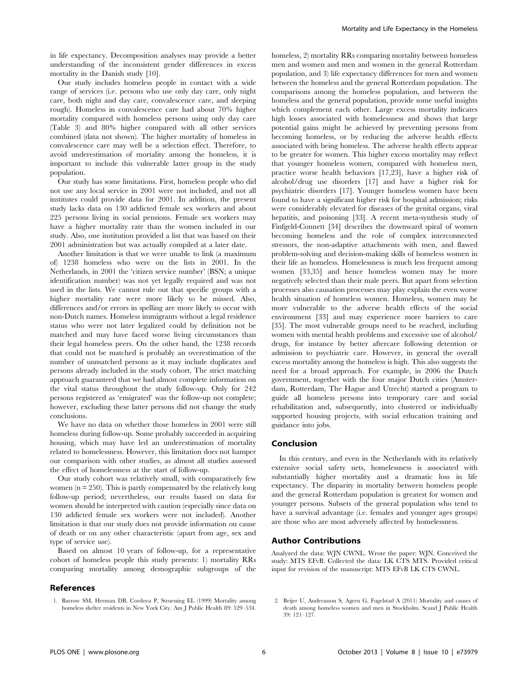in life expectancy. Decomposition analyses may provide a better understanding of the inconsistent gender differences in excess mortality in the Danish study [10].

Our study includes homeless people in contact with a wide range of services (i.e. persons who use only day care, only night care, both night and day care, convalescence care, and sleeping rough). Homeless in convalescence care had about 70% higher mortality compared with homeless persons using only day care (Table 3) and 80% higher compared with all other services combined (data not shown). The higher mortality of homeless in convalescence care may well be a selection effect. Therefore, to avoid underestimation of mortality among the homeless, it is important to include this vulnerable latter group in the study population.

Our study has some limitations. First, homeless people who did not use any local service in 2001 were not included, and not all institutes could provide data for 2001. In addition, the present study lacks data on 130 addicted female sex workers and about 225 persons living in social pensions. Female sex workers may have a higher mortality rate than the women included in our study. Also, one institution provided a list that was based on their 2001 administration but was actually compiled at a later date.

Another limitation is that we were unable to link (a maximum of) 1238 homeless who were on the lists in 2001. In the Netherlands, in 2001 the 'citizen service number' (BSN; a unique identification number) was not yet legally required and was not used in the lists. We cannot rule out that specific groups with a higher mortality rate were more likely to be missed. Also, differences and/or errors in spelling are more likely to occur with non-Dutch names. Homeless immigrants without a legal residence status who were not later legalized could by definition not be matched and may have faced worse living circumstances than their legal homeless peers. On the other hand, the 1238 records that could not be matched is probably an overestimation of the number of unmatched persons as it may include duplicates and persons already included in the study cohort. The strict matching approach guaranteed that we had almost complete information on the vital status throughout the study follow-up. Only for 242 persons registered as 'emigrated' was the follow-up not complete; however, excluding these latter persons did not change the study conclusions.

We have no data on whether those homeless in 2001 were still homeless during follow-up. Some probably succeeded in acquiring housing, which may have led an underestimation of mortality related to homelessness. However, this limitation does not hamper our comparison with other studies, as almost all studies assessed the effect of homelessness at the start of follow-up.

Our study cohort was relatively small, with comparatively few women ( $n = 250$ ). This is partly compensated by the relatively long follow-up period; nevertheless, our results based on data for women should be interpreted with caution (especially since data on 130 addicted female sex workers were not included). Another limitation is that our study does not provide information on cause of death or on any other characteristic (apart from age, sex and type of service use).

Based on almost 10 years of follow-up, for a representative cohort of homeless people this study presents: 1) mortality RRs comparing mortality among demographic subgroups of the

## References

homeless, 2) mortality RRs comparing mortality between homeless men and women and men and women in the general Rotterdam population, and 3) life expectancy differences for men and women between the homeless and the general Rotterdam population. The comparisons among the homeless population, and between the homeless and the general population, provide some useful insights which complement each other. Large excess mortality indicates high losses associated with homelessness and shows that large potential gains might be achieved by preventing persons from becoming homeless, or by reducing the adverse health effects associated with being homeless. The adverse health effects appear to be greater for women. This higher excess mortality may reflect that younger homeless women, compared with homeless men, practice worse health behaviors [17,23], have a higher risk of alcohol/drug use disorders [17] and have a higher risk for psychiatric disorders [17]. Younger homeless women have been found to have a significant higher risk for hospital admission; risks were considerably elevated for diseases of the genital organs, viral hepatitis, and poisoning [33]. A recent meta-synthesis study of Finfgeld-Connett [34] describes the downward spiral of women becoming homeless and the role of complex interconnected stressors, the non-adaptive attachments with men, and flawed problem-solving and decision-making skills of homeless women in their life as homeless. Homelessness is much less frequent among women [33,35] and hence homeless women may be more negatively selected than their male peers. But apart from selection processes also causation processes may play explain the even worse health situation of homeless women. Homeless, women may be more vulnerable to the adverse health effects of the social environment [33] and may experience more barriers to care [35]. The most vulnerable groups need to be reached, including women with mental health problems and excessive use of alcohol/ drugs, for instance by better aftercare following detention or admission to psychiatric care. However, in general the overall excess mortality among the homeless is high. This also suggests the need for a broad approach. For example, in 2006 the Dutch government, together with the four major Dutch cities (Amsterdam, Rotterdam, The Hague and Utrecht) started a program to guide all homeless persons into temporary care and social rehabilitation and, subsequently, into clustered or individually supported housing projects, with social education training and guidance into jobs.

#### Conclusion

In this century, and even in the Netherlands with its relatively extensive social safety nets, homelessness is associated with substantially higher mortality and a dramatic loss in life expectancy. The disparity in mortality between homeless people and the general Rotterdam population is greatest for women and younger persons. Subsets of the general population who tend to have a survival advantage (i.e. females and younger ages groups) are those who are most adversely affected by homelessness.

#### Author Contributions

Analyzed the data: WJN CWNL. Wrote the paper: WJN. Conceived the study: MTS EFvB. Collected the data: LK CTS MTS. Provided critical input for revision of the manuscript: MTS EFvB LK CTS CWNL.

<sup>1.</sup> Barrow SM, Herman DB, Cordova P, Struening EL (1999) Mortality among homeless shelter residents in New York City. Am J Public Health 89: 529–534.

<sup>2.</sup> Beijer U, Andreasson S, Agren G, Fugelstad A (2011) Mortality and causes of death among homeless women and men in Stockholm. Scand J Public Health 39: 121–127.